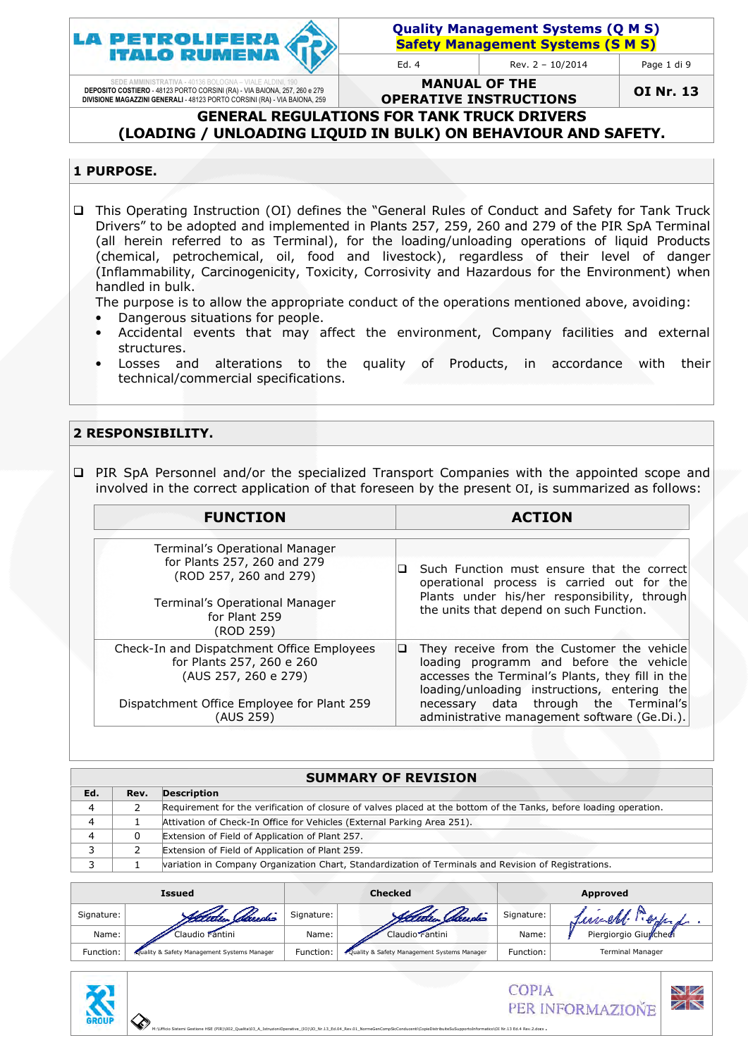

| <b>Quality Management Systems (Q M S)</b> |  |
|-------------------------------------------|--|
| <b>Safety Management Systems (S M S)</b>  |  |

Page 1 di 9

SEDE AMMINISTRATIVA - 40136 BOLOGNA – VIALE ALDINI, 190<br>DEPOSITO COSTIERO - 48123 PORTO CORSINI (RA) - VIA BAIONA, 257, 260 e 279<br>DIVISIONE MAGAZZINI GENERALI - 48123 PORTO CORSINI (RA) - VIA BAIONA, 259

MANUAL OF THE OPERATIVE INSTRUCTIONS

OI Nr. 13

#### GENERAL REGULATIONS FOR TANK TRUCK DRIVERS (LOADING / UNLOADING LIQUID IN BULK) ON BEHAVIOUR AND SAFETY.

#### 1 PURPOSE.

□ This Operating Instruction (OI) defines the "General Rules of Conduct and Safety for Tank Truck Drivers" to be adopted and implemented in Plants 257, 259, 260 and 279 of the PIR SpA Terminal (all herein referred to as Terminal), for the loading/unloading operations of liquid Product Products (chemical, petrochemical, oil, food and livestock), regardless of t their level of danger (chemical, petrochemical, oil, food and livestock), regardless of their level of danger<br>(Inflammability, Carcinogenicity, Toxicity, Corrosivity and Hazardous for the Environment) when handled in bulk.

The purpose is to allow the appropriate conduct of the operations mentioned above, avoiding:

- Dangerous situations for people.
- Accidental events that may affect the environment, Company fac facilities and external structures.
- Losses and alterations to the quality of Products, in accordance with their technical/commercial specifications.

#### 2 RESPONSIBILITY.

**I** PIR SpA Personnel and/or the specialized Transport Companies with the appointed scope and involved in the correct application of that foreseen by the present OI, is summarized Products, in accordance with thei<br>
Sompanies with the appointed scope and<br>
ine present OI, is summarized as follows:

| <b>FUNCTION</b>                                                                                                                                            | <b>ACTION</b>                                                                                                                                                                                                                                                                           |  |
|------------------------------------------------------------------------------------------------------------------------------------------------------------|-----------------------------------------------------------------------------------------------------------------------------------------------------------------------------------------------------------------------------------------------------------------------------------------|--|
| Terminal's Operational Manager<br>for Plants 257, 260 and 279<br>(ROD 257, 260 and 279)<br>Terminal's Operational Manager<br>for Plant 259<br>(ROD 259)    | Such Function must ensure that the correct<br>ப<br>operational process is carried out for the<br>Plants under his/her responsibility, through<br>the units that depend on such Function.                                                                                                |  |
| Check-In and Dispatchment Office Employees<br>for Plants 257, 260 e 260<br>(AUS 257, 260 e 279)<br>Dispatchment Office Employee for Plant 259<br>(AUS 259) | They receive from the Customer the vehicle<br>⊔<br>loading programm and before the vehicle<br>accesses the Terminal's Plants, they fill in the<br>loading/unloading instructions, entering the<br>necessary data through the Terminal's<br>administrative management software (Ge.Di.). |  |

| <b>SUMMARY OF REVISION</b> |      |                                                                                                                    |  |  |
|----------------------------|------|--------------------------------------------------------------------------------------------------------------------|--|--|
| Ed.                        | Rev. | <b>Description</b>                                                                                                 |  |  |
| 4                          |      | Requirement for the verification of closure of valves placed at the bottom of the Tanks, before loading operation. |  |  |
| 4                          |      | Attivation of Check-In Office for Vehicles (External Parking Area 251).                                            |  |  |
| 4                          | 0    | Extension of Field of Application of Plant 257.                                                                    |  |  |
|                            |      | Extension of Field of Application of Plant 259.                                                                    |  |  |
|                            |      | variation in Company Organization Chart, Standardization of Terminals and Revision of Registrations.               |  |  |

| Issued     |                                              | <b>Checked</b> |                                             | Approved   |                         |
|------------|----------------------------------------------|----------------|---------------------------------------------|------------|-------------------------|
| Signature: | Altelier Streechs                            | Signature:     | Eletter Steuste                             | Signature: | un du<br>11 explorate   |
| Name:      | Claudio Fantini                              | Name:          | Claudio Fantini                             | Name:      | Piergiorgio Giurchedi   |
| Function:  | Lyuality & Safety Management Systems Manager | Function:      | Quality & Safety Management Systems Manager | Function:  | <b>Terminal Manager</b> |

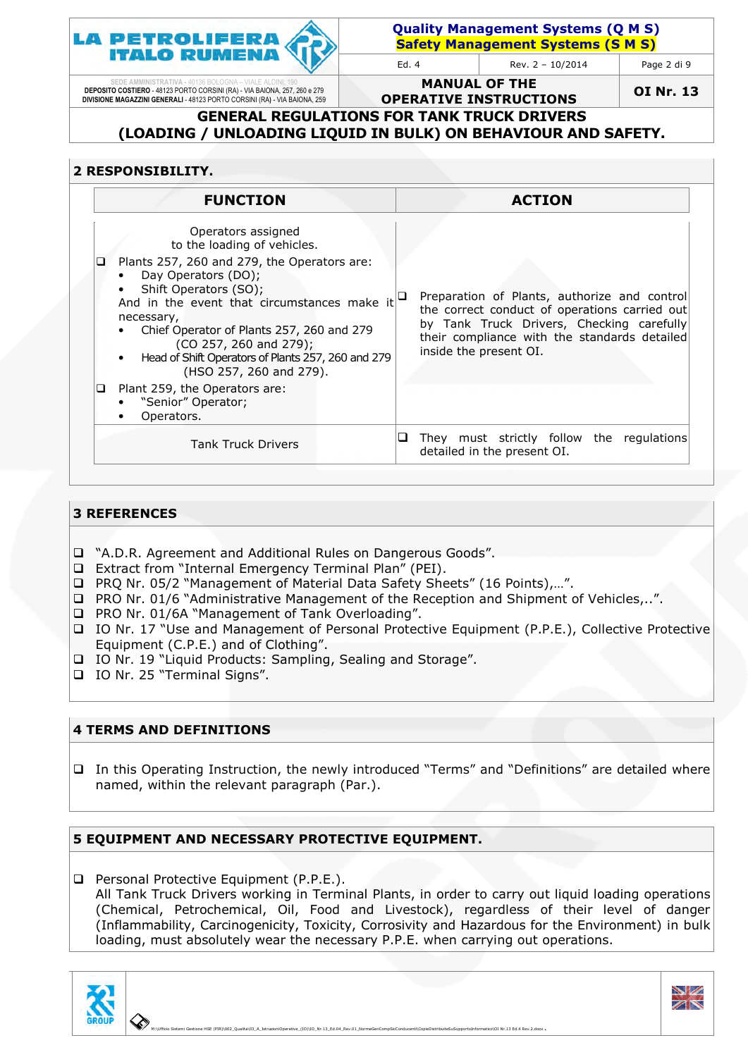

Quality Management Systems (Q M S) Quality Management Systems (Q M S)<br><mark>Safety Management Systems (S M S)</mark> Ed. 4 Rev.  $2 - 10/2014$ Page 2 di 9

SEDE AMMINISTRATIVA - 40136 BOLOGNA – VIALE ALDINI, 190<br>DEPOSITO COSTIERO - 48123 PORTO CORSINI (RA) - VIA BAIONA, 257, 260 e 279<br>DIVISIONE MAGAZZINI GENERALI - 48123 PORTO CORSINI (RA) - VIA BAIONA, 259

MANUAL OF THE OPERATIVE INSTRUCTIONS

OI Nr. 13

#### GENERAL REGULATIONS FOR TANK TRUCK DRIVERS (LOADING / UNLOADING LIQUID IN BULK) ON BEHAVIOUR AND SAFETY.

## 2 RESPONSIBILITY.

|        | <b>FUNCTION</b>                                                                                                                                                                                                                                                                                                                                                                                                                            | <b>ACTION</b>                                                                                                                                                                                                        |
|--------|--------------------------------------------------------------------------------------------------------------------------------------------------------------------------------------------------------------------------------------------------------------------------------------------------------------------------------------------------------------------------------------------------------------------------------------------|----------------------------------------------------------------------------------------------------------------------------------------------------------------------------------------------------------------------|
| ⊔<br>u | Operators assigned<br>to the loading of vehicles.<br>Plants 257, 260 and 279, the Operators are:<br>Day Operators (DO);<br>Shift Operators (SO);<br>And in the event that circumstances make it<br>necessary,<br>Chief Operator of Plants 257, 260 and 279<br>(CO 257, 260 and 279);<br>Head of Shift Operators of Plants 257, 260 and 279<br>(HSO 257, 260 and 279).<br>Plant 259, the Operators are:<br>"Senior" Operator;<br>Operators. | Preparation of Plants, authorize and control<br>the correct conduct of operations carried out<br>by Tank Truck Drivers, Checking carefully<br>their compliance with the standards detailed<br>inside the present OI. |
|        | <b>Tank Truck Drivers</b>                                                                                                                                                                                                                                                                                                                                                                                                                  | They must strictly follow the regulations<br>detailed in the present OI.                                                                                                                                             |

#### 3 REFERENCES

- □ "A.D.R. Agreement and Additional Rules on Dangerous Goods".
- □ Extract from "Internal Emergency Terminal Plan" (PEI).
- □ PRQ Nr. 05/2 "Management of Material Data Safety Sheets" (16 Points),...".
- □ PRO Nr. 01/6 "Administrative Management of the Reception and Shipment of Vehicles,..".
- □ PRO Nr. 01/6A "Management of Tank Overloading".
- □ IO Nr. 17 "Use and Management of Personal Protective Equipment (P.P.E.), Collective Protective Equipment (C.P.E.) and of Clothing".
- IO Nr. 19 "Liquid Products: Sampling, Sealing and Storage".
- IO Nr. 25 "Terminal Signs".

#### 4 TERMS AND DEFINITIONS

 $\Box$  In this Operating Instruction, the newly introduced "Terms" and "Definitions" are detailed where named, within the relevant paragraph (Par.). .) and of Clothing".<br>Products: Sampling, Sealing and Storage".<br>al Signs".<br>**NITIONS**<br>Instruction, the newly introduced "Terms" and "Definitions" are detailed where

## 5 EQUIPMENT AND NECESSARY PROTECTIVE EQUIPMENT.

□ Personal Protective Equipment (P.P.E.). All Tank Truck Drivers working in Terminal Plants, in order to carry out liquid loading operations (Chemical, Petrochemical, Oil, Food and Livestock), regardless of their level of danger (Inflammability, Carcinogenicity, Toxicity, Corrosivity and Hazardous for the Environment) in bulk loading, must absolutely wear the necessary P.P.E. when carrying out operations.



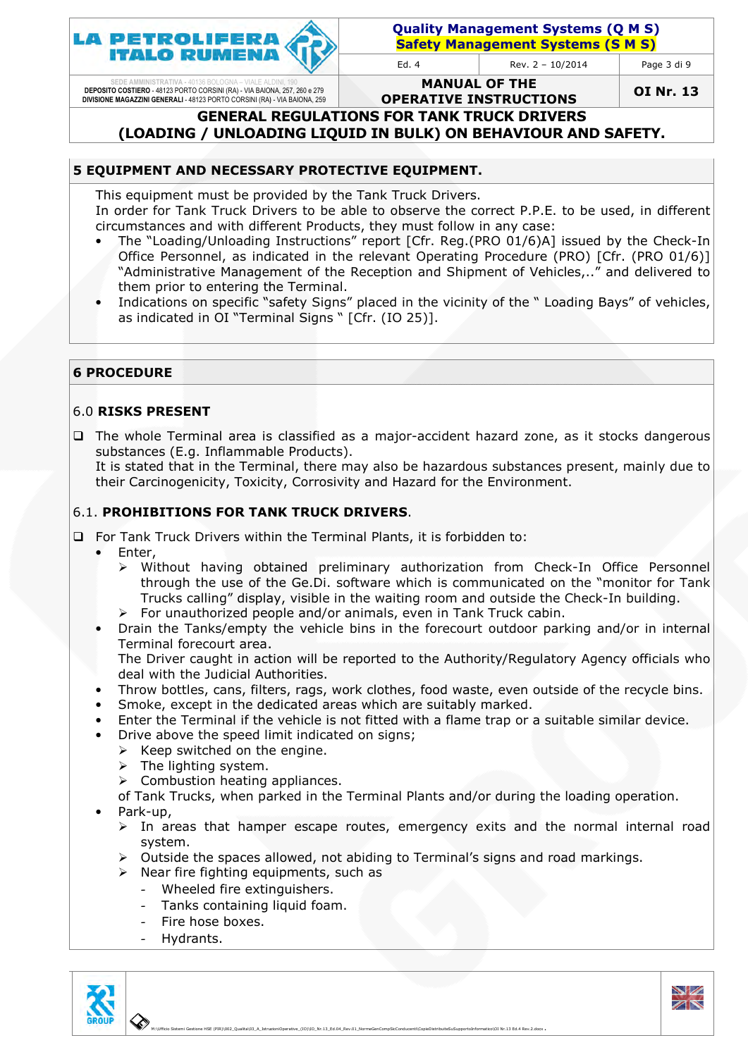

Page 3 di 9

SEDE AMMINISTRATIVA - 40136 BOLOGNA – VIALE ALDINI, 190<br>DEPOSITO COSTIERO - 48123 PORTO CORSINI (RA) - VIA BAIONA, 257, 260 e 279<br>DIVISIONE MAGAZZINI GENERALI - 48123 PORTO CORSINI (RA) - VIA BAIONA, 259

MANUAL OF THE OPERATIVE INSTRUCTIONS

OI Nr. 13

GENERAL REGULATIONS FOR TANK TRUCK DRIVERS

# (LOADING / UNLOADING LIQUID IN BULK) ON BEHAVIOUR AND SAFETY.

## 5 EQUIPMENT AND NECESSARY PROTECTIVE EQUIPMENT.

This equipment must be provided by the Tank Truck Drivers. In order for Tank Truck Drivers to be able to observe the correct P.P.E. to be used, in different circumstances and with different Products, they must follow in any case:

- The "Loading/Unloading Instructions" report [Cfr. Reg.(PRO 01/6)A] issued by the Check-In Office Personnel, as indicated in the relevant Operating Procedure (PRO) [Cfr. (PRO 01/6)] "Administrative Management of the Reception and Shipment of Vehicles,.." and delivered to them prior to entering the Terminal. Administrative Management of the Reception and Shipment of Vehicles,.." and delivered to<br>them prior to entering the Terminal.<br>Indications on specific "safety Signs" placed in the vicinity of the " Loading Bays" of vehicles
- as indicated in OI "Terminal Signs " [Cfr. (IO 25)].

## 6 PROCEDURE

#### 6.0 RISKS PRESENT

□ The whole Terminal area is classified as a major-accident hazard zone, as it stocks dangerous substances (E.g. Inflammable Products). The whole Terminal area is classified as a major-accident hazard zone, as it stocks dangerous<br>substances (E.g. Inflammable Products).<br>It is stated that in the Terminal, there may also be hazardous substances present, mainl

their Carcinogenicity, Toxicity, Corrosivity and Hazard for the Environment.

#### 6.1. PROHIBITIONS FOR TANK TRUCK DRIVERS.

 $\Box$  For Tank Truck Drivers within the Terminal Plants, it is forbidden to:

- Enter,
- $\blacktriangleright$ Carcinogenicity, Toxicity, Corrosivity and Hazard for the Environment.<br> **PHIBITIONS FOR TANK TRUCK DRIVERS.**<br>
ank Truck Drivers within the Terminal Plants, it is forbidden to:<br>
ther,<br>
Without having obtained preliminary au through the use of the Ge.Di. software which is communicated on the "monitor for Tank Trucks calling" display " display, visible in the waiting room and outside the Check-In building.
	- > For unauthorized people and/or animals, even in Tank Truck cabin.
- Drain the Tanks/empty the vehicle bins in the forecourt outdoor parking and/or in internal Terminal forecourt area. The Driver caught in action will be reported to the Authority/Regulatory Agency officials who
- deal with the Judicial Authorities. • Throw bottles, cans, filters, rags, work clothes, food waste, even outside of the recycle bins.
- Smoke, except in the dedicated areas which are suitably marked.
- Enter the Terminal if the vehicle is not fitted with a flame trap or a suitable similar device.
- Drive above the speed limit indicated on signs;
	- > Keep switched on the engine.
	- > The lighting system.
	- $\blacktriangleright$ Combustion heating appliances appliances.

of Tank Trucks, when parked in the Terminal Plants and/or during the loading operation.

- Park-up,
	- > In areas that hamper escape routes, emergency exits and the normal internal road system.
	- > Outside the spaces allowed, not abiding to Terminal's signs and road markings.
	- > Near fire fighting equipments, such as
		- Wheeled fire extinguishers.
		- Tanks containing liquid foam.
		- Fire hose boxes.
		- Hydrants.





 M:\Ufficio Sistemi Gestione HSE (PIR)\002\_Qualita\03\_A\_IstruzioniOperative\_(IO) 03\_A\_IstruzioniOperative\_(IO)\IO\_Nr.13\_Ed.04\_Rev.01\_NormeGenCompSicConducenti\CopieDistribuiteSuSupportoInformatico\OI Nr.13 Ed.4 Rev.2.docx OI Nr.13 Ed.4 Rev.2.docx.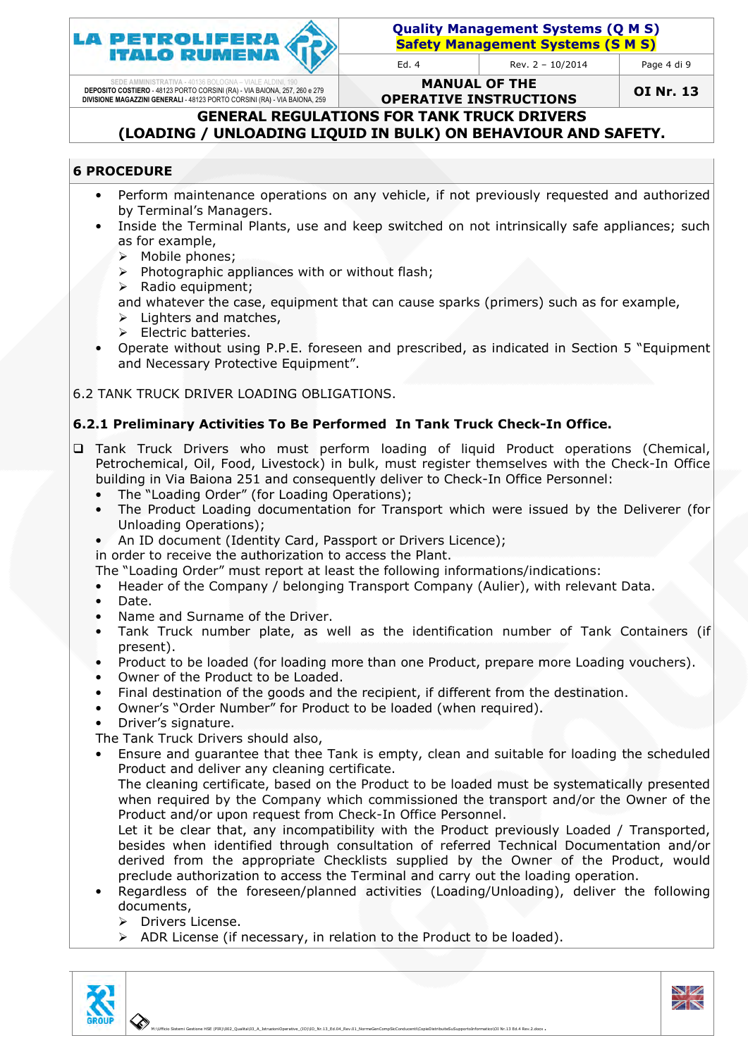

Quality Management Systems (Q M S) Quality Management Systems (Q M S)<br><mark>Safety Management Systems (S M S)</mark>

Ed. 4 Rev.  $2 - 10/2014$ 

Page 4 di 9

SEDE AMMINISTRATIVA - 40136 BOLOGNA – VIALE ALDINI, 190<br>DEPOSITO COSTIERO - 48123 PORTO CORSINI (RA) - VIA BAIONA, 257, 260 e 279<br>DIVISIONE MAGAZZINI GENERALI - 48123 PORTO CORSINI (RA) - VIA BAIONA, 259

MANUAL OF THE OPERATIVE INSTRUCTIONS

OI Nr. 13

GENERAL REGULATIONS FOR TANK TRUCK DRIVERS (LOADING / UNLOADING LIQUID IN BULK) ON BEHAVIOUR AND SAFETY.

#### 6 PROCEDURE

- Perform maintenance operations on any vehicle, if not previously requested and authorized by Terminal's Managers.
- by Terminal's Managers.<br>• Inside the Terminal Plants, use and keep switched on not intrinsically safe appliances; such as for example,
	- > Mobile phones;
	- $\blacktriangleright$ Photographic appliances with or without flash;
	- $\blacktriangleright$ Radio equipment;
	- and whatever the case, equipment that can cause sparks (primers) such as for example,
	- > Lighters and matches,
	- $\triangleright$ Electric batteries.
- Operate without using P.P.E. foreseen and prescribed, as indicated in Section 5 "Equipment and Necessary Protective Equipment".

6.2 TANK TRUCK DRIVER LOADING OBLIGATIONS OBLIGATIONS.

## 6.2.1 Preliminary Activities To Be Performed In Tank Truck Check-In Office.

- I Tank Truck Drivers who must perform loading of liquid Product operations (Chemical, Petrochemical, Oil, Food, Livestock) in bulk, must register themselves with the Check-In Office building in Via Baiona 251 and consequently deliver to Check-In Office Office Personnel:
	- The "Loading Order" (for Loading Operations) Operations);
	- The Product Loading documentation for Transport which were issued by the Deliverer (for Unloading Operations);
	- An ID document (Identity Card, Passport or Drivers Licence);

in order to receive the authorization to access the Plant.

The "Loading Order" must report at least the following informations/indications:

- Header of the Company / belonging Transport Company (Aulier), with relevant Data.
- Date.
- Name and Surname of the Driver.
- Tank Truck number plate, as well as the identification number of Tank Containers (if present).
- Product to be loaded (for loading more than one Product, prepare more Loading vouchers).
- Owner of the Product to be Loaded Loaded.
- Final destination of the goods and the recipient, if different from the destination.
- Owner's "Order Number" for Product to be loaded (when required).
- Driver's signature.

The Tank Truck Drivers should also,

The Tank Truck Drivers should also,<br>• Ensure and guarantee that thee Tank is empty, clean and suitable for loading the scheduled Product and deliver any cleaning certificate.

The cleaning certificate, based on the Product to be loaded must be systematically presented when required by the Company which commissioned the transport and/or the Owner of the Product and/or upon request from Check-In Office Personnel.

Let it be clear that, any incompatibility with the Product previously Loaded / Transported, besides when identified through consultation of referred Technical Documentation and/or derived from the appropriate Checklists supplied by the Owner of the Product, would preclude authorization to to access the Terminal and carry out the loading loading operation.

- Regardless of the foreseen/planned activities (Loading/Unloading), deliver the following documents,
	- $\triangleright$ Drivers License.
	- $\rightarrow$ ADR License (if necessary, in relation to the Product to be loaded).



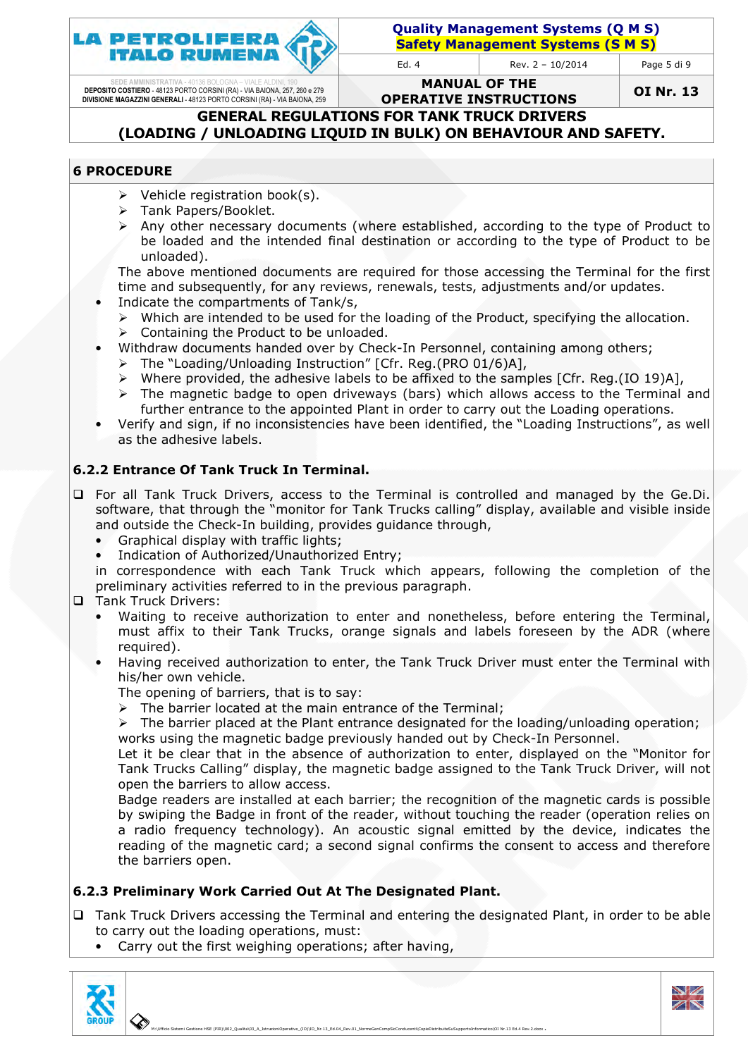

Page 5 di 9

SEDE AMMINISTRATIVA - 40136 BOLOGNA – VIALE ALDINI, 190<br>DEPOSITO COSTIERO - 48123 PORTO CORSINI (RA) - VIA BAIONA, 257, 260 e 279<br>DIVISIONE MAGAZZINI GENERALI - 48123 PORTO CORSINI (RA) - VIA BAIONA, 259

MANUAL OF THE OPERATIVE INSTRUCTIONS

OI Nr. 13

GENERAL REGULATIONS FOR TANK TRUCK DRIVERS (LOADING / UNLOADING LIQUID IN BULK) ON BEHAVIOUR AND SAFETY.

#### 6 PROCEDURE

- > Vehicle registration book(s).
- > Tank Papers/Booklet.
- > Any other necessary documents (where established, according to the type of Product to be loaded and the intended final destination or according to the type of Product to be unloaded).

The above mentioned documents are required for those accessing the Terminal for the first time and subsequently, for any reviews, renewals, tests, adjustments and/or updates.

- Indicate the compartments of Tank/s,
	- $\blacktriangleright$ Which are intended to be used for the loading of the Product, specifying the allocation.
	- $\blacktriangleright$ Containing the Product Product to be unloaded.
- Withdraw documents handed over by Check-In Personnel, containing among others;
	- $\blacktriangleright$ The "Loading/Unloading /Unloading Instruction" [Cfr. Reg.(PRO 01/6)A],
	- > Where provided, the adhesive labels to be affixed to the samples [Cfr. Reg.(IO 19)A],
	- $\blacktriangleright$  The magnetic badge to open driveways (bars) which allows access to the Terminal and further entrance to the appointed Plant in order to carry out the Loading operations.
- Verify and sign, if no inconsistencies have been identified, the "Loading Instructions", as well as the adhesive labels.

#### 6.2.2 Entrance Of Tank Truck Truck In Terminal.

- I For all Tank Truck Drivers, access to the Terminal is controlled and managed by the Ge.Di. software, that through the "monitor for Tank Trucks calling" display, available and visible inside and outside the Check-In building, provides guidance through,
	- Graphical display with traffic lights;
	- Indication of Authorized/Unauthorized Entry;

• Indication of Authorized/Unauthorized Entry;<br>in correspondence with each Tank Truck which appears, following the completion of the preliminary activities referred to in the previous paragraph.

- **Q** Tank Truck Drivers:
	- Waiting to receive authorization to enter and nonetheless, before entering the Terminal, must affix to their Tank Trucks, orange signals and labels foreseen by the ADR (where required).
	- Having received authorization to enter, the Tank Truck Driver must enter the Terminal with his/her own vehicle.
		- The opening of barriers, that is to say:
		- The opening of barriers, that is to say:<br>> The barrier located at the main entrance of the Terminal;

> The barrier placed at the Plant entrance designated for the loading/unloading operation; works using the magnetic badge previously handed out by Check-In Personnel.

Let it be clear that in the absence of authorization to enter, displayed on the "Monitor for Tank Trucks Calling" display, the magnetic badge assigned to the Tank Truck Driver, will not open the barriers to allow access.

Badge readers are installed at each barrier; the recognition of the magnetic cards is possible by swiping the Badge in front of the reader, without touching the reader ( (operation relies on a radio frequency technology). An acoustic signal emitted by the device, indicates the a radio frequency technology). An acoustic signal emitted by the device, indicates the<br>reading of the magnetic card; a second signal confirms the consent to access and therefore the barriers open.

#### 6.2.3 Preliminary Work Carried Out At The Designated Plant.

- □ Tank Truck Drivers accessing the Terminal and entering the designated Plant, in order to be able to carry out the loading operations, must:
	- Carry out the first weighing operations; after having,

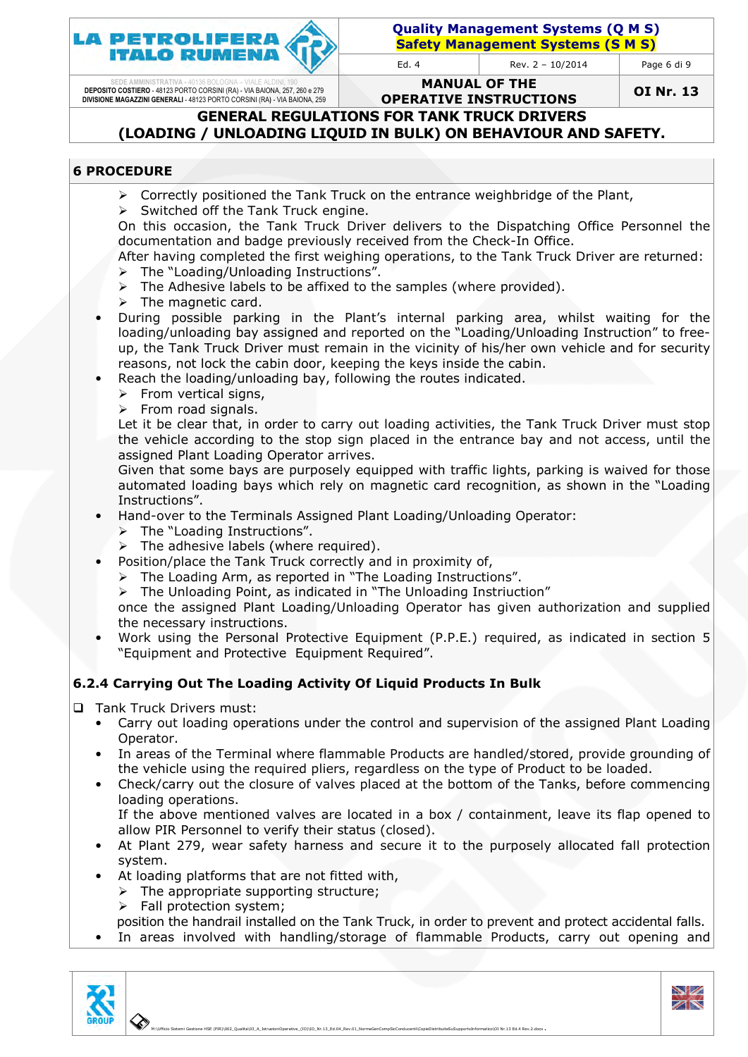

Page 6 di 9

SEDE AMMINISTRATIVA - 40136 BOLOGNA – VIALE ALDINI, 190<br>DEPOSITO COSTIERO - 48123 PORTO CORSINI (RA) - VIA BAIONA, 257, 260 e 279<br>DIVISIONE MAGAZZINI GENERALI - 48123 PORTO CORSINI (RA) - VIA BAIONA, 259

MANUAL OF THE OPERATIVE INSTRUCTIONS

OI Nr. 13

GENERAL REGULATIONS FOR TANK TRUCK DRIVERS (LOADING / UNLOADING LIQUID IN BULK) ON BEHAVIOUR AND SAFETY.

## 6 PROCEDURE

- > Correctly positioned the Tank Truck on the entrance weighbridge of the Plant,
- > Switched off the Tank Truck engine.

On this occasion, the Tank Truck Driver delivers to the Dispatching Office Personnel the documentation and badge previously received from the Check-In Office.

After having completed the first weighing operations, to the Tank Truck Driver are returned:  $\blacktriangleright$ The "Loading/Unloading /Unloading Instructions".

- $\triangleright$ The Adhesive labels to be affixed to the samples (where provided).
- $\triangleright$ The magnetic card.
- During possible parking in the Plant's internal parking area, whilst waiting for the During possible parking in the Plant's internal parking area, whilst waiting for the<br>loading/unloading bay assigned and reported on the "Loading/Unloading Instruction" to freeup, the Tank Truck Driver Driver must remain in the vicinity of his/her own vehicle and for security reasons, not lock the cabin door, keeping the keys inside the cabin.
- Reach the loading/unloading bay, following the routes indicated.
	- > From vertical signs,
	- > From road signals.

Let it be clear that, in order to carry out loading activities, the Tank Tank Truck Driver must stop the vehicle according to the stop sign placed in the entrance bay and not access, until the assigned Plant Loading Operator arrives.

Given that some bays are purposely equipped with traffic lights, parking is waived for those automated loading bays which rely on magnetic card recognition, as shown in the "Loading Instructions".

- Hand-over to the Terminals Assigned Plant Loading/Unloading Operator:
	- $\blacktriangleright$ The "Loading Instructions Instructions".
	- $\blacktriangleright$ The adhesive labels ( (where required).
- Position/place the Tank Truck correctly and in proximity of,
	- > The Loading Arm, as reported in "The Loading Instructions".
	- $\blacktriangleright$ The Unloading Point, , as indicated in "The Unloading Instriuction"

once the assigned Plant Loading/Unloading Operator has given authorization and supplied the necessary instructions.

• Work using the Personal Protective Equipment (P.P.E.) required, as indicated in section 5 "Equipment and Protective Equipment Required".

## 6.2.4 Carrying Out The Loading Activity Of Liquid Products In Bulk

- □ Tank Truck Drivers must:
	- Carry out loading operations under the control and supervision of the assigned Plant Loading Operator.
	- In areas of the Terminal where flammable Products are handled/stored, provide grounding of the vehicle using the required pliers, regardless on the type of Product to be loaded.
	- Check/carry out the closure of valves placed at the bottom of the Tanks, before commencing loading operations.
		- If the above mentioned valves are located in a box / containment, leave its flap opened to allow PIR Personnel to verify their status (closed).
	- At Plant 279, wear safety harness and secure it to the purposely allocated fall protection system.
	- At loading platforms that are not fitted with,
		- $\blacktriangleright$ The appropriate support he supporting structure;
		- $\triangleright$ Fall protection system;
		- position the handrail installed on the Tank Truck, in order to prevent and protect accidental falls.
	- . In areas involved with handling/storage of flammable Products, carry out opening and



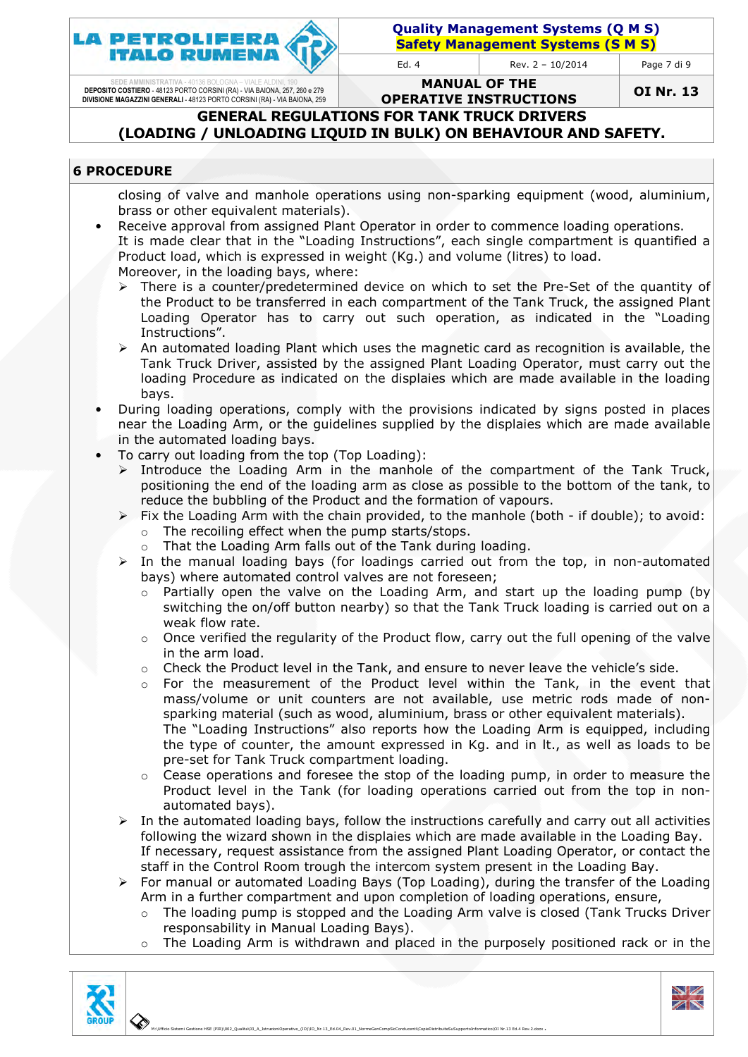

Page 7 di 9

SEDE AMMINISTRATIVA - 40136 BOLOGNA – VIALE ALDINI, 190 DEPOSITO COSTIERO - 48123 PORTO CORSINI (RA) - VIA BAIONA, 257, 260 e 279 DIVISIONE MAGAZZINI GENERALI - 48123 PORTO CORSINI (RA) - VIA BAIONA, 259

MANUAL OF THE OPERATIVE INSTRUCTIONS

OI Nr. 13

GENERAL REGULATIONS FOR TANK TRUCK DRIVERS (LOADING / UNLOADING LIQUID IN BULK) ON BEHAVIOUR AND SAFETY.

#### 6 PROCEDURE

closing of valve and manhole operations using non-sparking equipment (wood, aluminium, brass or other equivalent materials).

- Receive approval from assigned Plant Operator in order to commence loading operations. It is made clear that in the "Loading Instructions", each single compartment is quantified a Product load, which is expressed in weight (Kg.) and volume (litres) to load. Moreover, in the loading bays, where:
	- $\blacktriangleright$ There is a counter/predetermined device on which to set the Pre-Set of the quantity of the Product to be transferred in each compartment of the Tank Truck, the assigned Plant Loading Operator has to carry out such operation, as indicated in the "Loading Instructions".
	- > An automated loading Plant which uses the magnetic card as recognition is available, the Tank Truck Driver, assisted by the assigned Plant Loading Operator, must carry out the loading Procedure as indicated on the displaies which are made available in the loading bays.
- During loading operations, comply with the provisions indicated by signs posted in places near the Loading Arm, or the guidelines supplied by the displaies which are made available in the automated loading bays.
- To carry out loading from the top (Top Loading):
	- > Introduce the Loading Arm in the manhole of the compartment of the Tank Truck, positioning the end of the loading arm as close as possible to the bottom of the tank, to reduce the bubbling of the Product and the formation of vapours.
	- > Fix the Loading Arm with the chain provided, to the manhole (both if double); to avoid:  $\circ$  The recoiling effect when the pump starts/stops.
		- $\circ$  That the Loading Arm falls out of the Tank during loading.
	- > In the manual loading bays (for loadings carried out from the top, in non-automated bays) where automated control valves are not foreseen;
		- $\circ$  Partially open the valve on the Loading Arm, and start up the loading pump (by Partially open the valve on the Loading Arm, and start up the loading pump (by<br>switching the on/off button nearby) so that the Tank Truck loading is carried out on a weak flow rate.
		- $\circ$  Once verified the regularity of the Product flow, carry out the full opening of the valve in the arm load.
		- $\circ$  Check the Product level in the Tank, and ensure to never leave the vehicle's side.
		- o For the measurement of the Product level within the Tank, in the event that mass/volume or unit counters are not available, use metric rods made of nonsparking material (such as wood, aluminium, brass or other equivalent materials). sparking material (such as wood, aluminium, brass or other equivalent materials).<br>The "Loading Instructions" also reports how the Loading Arm is equipped, including the type of counter, the amount expressed in Kg. and in lt., as well as loads to be
		- pre-set for Tank Truck Truck compartment loading.  $\circ$  Cease operations and foresee the stop of the loading pump, in order to measure the
		- Product level in the Tank (for loading operations carried out from the top in nonautomated bays). automated bays).<br>In the automated loading bays, follow the instructions carefully and carry out all activities
	- $\blacktriangleright$ following the wizard shown in the displaies which are made available in the Loading Bay. If necessary, request assistance from the assigned Plant Loading Operato staff in the Control Room trough the intercom system present in the Loading Bay. s, follow the instructions carefully and carry out all activities<br>the displaies which are made available in the Loading Bay.<br>ice from the assigned Plant Loading Operator, or contact the
	- > For manual or automated Loading Bays (Top Loading), during the transfer of the Loading Arm in a further compartment and upon completion of loading operations operations, ensure,
		- o The loading pump is stopped and the Loading Arm valve is closed (Tank Trucks Driver responsability in Manual Loading Bays).
		- $\circ$  The Loading Arm is withdrawn and placed in the purposely positioned rack or in the



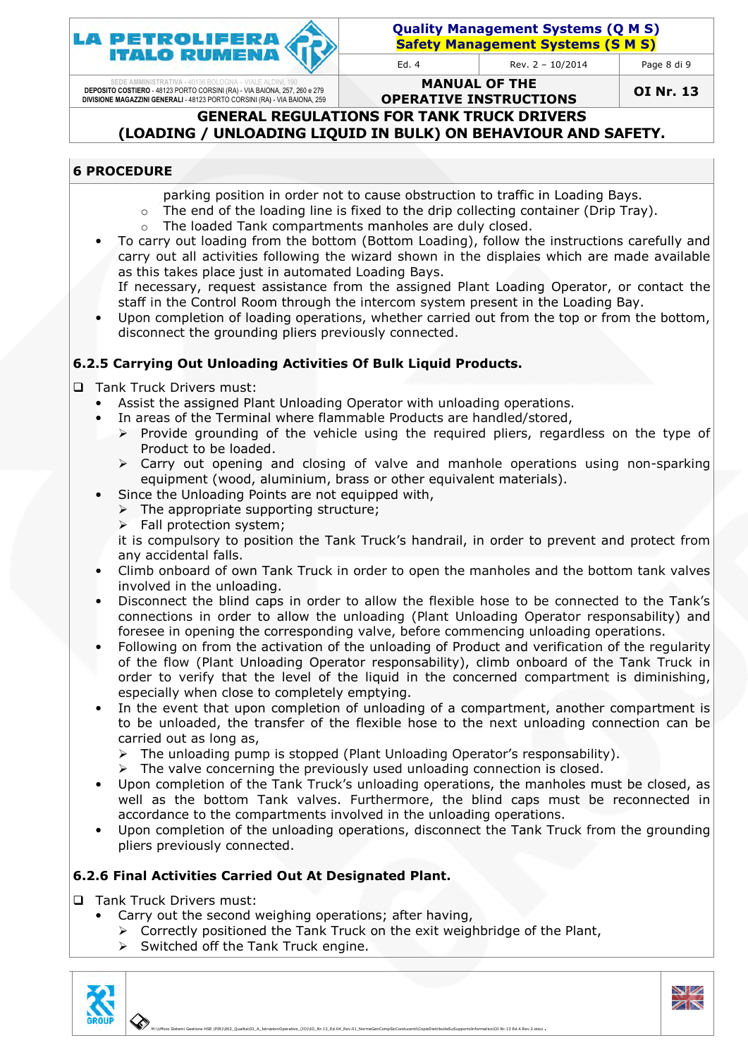

Page 8 di 9

SEDE AMMINISTRATIVA - 40136 BOLOGNA – VIALE ALDINI, 190<br>DEPOSITO COSTIERO - 48123 PORTO CORSINI (RA) - VIA BAIONA, 257, 260 e 279<br>DIVISIONE MAGAZZINI GENERALI - 48123 PORTO CORSINI (RA) - VIA BAIONA, 259

MANUAL OF THE OPERATIVE INSTRUCTIONS

OI Nr. 13

GENERAL REGULATIONS FOR TANK TRUCK DRIVERS (LOADING / UNLOADING LIQUID IN BULK) ON BEHAVIOUR AND SAFETY.

## 6 PROCEDURE

parking position in order not to cause obstruction to traffic in Loading Bays.

- $\circ$  The end of the loading line is fixed to the drip collecting container (Drip Tray).
- o The loaded Tank compartments manholes are duly closed.
- To carry out loading from the bottom (Bottom Loading), follow the instructions carefully and carry out all activities following the wizard shown in the displaies which are made available as this takes place just in automated Loading Bays.

If necessary, request assistance from the assigned Plant Loading Operator, or contact the staff in the Control Room through the intercom system present in the Loading Bay.

staff in the Control Room through the intercom system present in the Loading Bay.<br>• Upon completion of loading operations, whether carried out from the top or from the bottom, disconnect the grounding pliers previously connected.

## 6.2.5 Carrying Out Unloading Activities Of Bulk Liquid Products.

- **Tank Truck Drivers must:** 
	- Assist the assigned Plant Unloading Operator with unloading operations.
	- In areas of the Terminal where flammable Products are handled/stored,
- > Provide grounding of the vehicle using the required pliers, regardless on the type of Provide grounding of<br>Product to be loaded. loading operations.<br>ire handled/stored,<br>uired pliers, regardless on the type of<br>nanhole operations using non-sparking
	- > Carry out opening and closing of valve and manhole operati equipment (wood, aluminium, brass or other equivalent materials) Carry out opening and<br>quipment (wood, alum<br>e the Unloading Points<br>he appropriate support<br>all protection system; materials).
	- Since the Unloading Points are not equipped with,
		- > The appropriate supporting structure;
		- > Fall protection system

it is compulsory to position the Tank Truck's handrail, in order to prevent and protect from any accidental falls.

- Climb onboard of own Tank Truck in order to open the manholes and the bottom tank valves involved in the unloading.
- Disconnect the blind caps in order to allow the flexible hose to be connected to the Tank's connections in order to allow the unloading (Plant Unloading Operator responsability) and foresee in opening the corresponding valve, before commencing unloading operations.
- Following on from the activation of the unloading of Product and verification of the regularity of the flow (Plant Unloading Operator responsability), climb onboard of the Tank Truck in order to verify that the level of the liquid in the concerned compartment is diminishing, especially when close to completely emptying.
- In the event that upon completion of unloading of a compartment, another compartment is to be unloaded, the transfer of the flexible hose to the next unloading connection can be carried out as long as,
	- $\blacktriangleright$ The unloading pump is stopped (Plant Unloading Operator's responsability).
	- $\blacktriangleright$ The valve concerning the previously used unloading connection is closed.
- Upon completion of the Tank Truck's unloading operations, the manholes must be closed, as well as the bottom Tank valves. Furthermore, the blind caps must be reconnected in accordance to the compartments involved in the unloading operations. • Upon completion of the Tank Truck's unloading operations, the manholes must be closed, as<br>well as the bottom Tank valves. Furthermore, the blind caps must be reconnected in<br>accordance to the compartments involved in the
- pliers previously connected.

## 6.2.6 Final Activities Carried Out At Designated Plant.

□ Tank Truck Drivers must:

- Carry out the second weighing operations; after having,
	- > Correctly positioned the Tank Truck on the exit weighbridge of the Plant,
	- $\blacktriangleright$ Switched off the Tank Truck engine.



 M:\Ufficio Sistemi Gestione HSE (PIR)\002\_Qualita\03\_A\_IstruzioniOperative\_(IO) 03\_A\_IstruzioniOperative\_(IO)\IO\_Nr.13\_Ed.04\_Rev.01\_NormeGenCompSicConducenti\CopieDistribuiteSuSupportoInformatico\OI Nr.13 Ed.4 Rev.2.docx OI Nr.13 Ed.4 Rev.2.docx